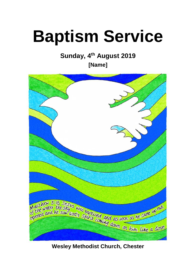# **Baptism Service**

# **Sunday, 4th August 2019**

**[Name]**



**Wesley Methodist Church, Chester**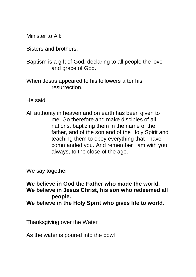Minister to All:

Sisters and brothers,

Baptism is a gift of God, declaring to all people the love and grace of God.

When Jesus appeared to his followers after his resurrection,

He said

All authority in heaven and on earth has been given to me. Go therefore and make disciples of all nations, baptizing them in the name of the father, and of the son and of the Holy Spirit and teaching them to obey everything that I have commanded you. And remember I am with you always, to the close of the age.

We say together

**We believe in God the Father who made the world. We believe in Jesus Christ, his son who redeemed all people. We believe in the Holy Spirit who gives life to world.**

Thanksgiving over the Water

As the water is poured into the bowl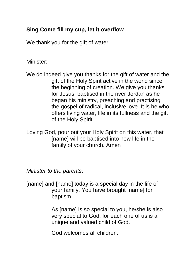## **Sing Come fill my cup, let it overflow**

We thank you for the gift of water.

#### Minister:

We do indeed give you thanks for the gift of water and the gift of the Holy Spirit active in the world since the beginning of creation. We give you thanks for Jesus, baptised in the river Jordan as he began his ministry, preaching and practising the gospel of radical, inclusive love. It is he who offers living water, life in its fullness and the gift of the Holy Spirit.

Loving God, pour out your Holy Spirit on this water, that [name] will be baptised into new life in the family of your church. Amen

*Minister to the parents*:

[name] and [name] today is a special day in the life of your family. You have brought [name] for baptism.

> As [name] is so special to you, he/she is also very special to God, for each one of us is a unique and valued child of God.

God welcomes all children.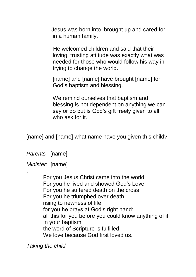Jesus was born into, brought up and cared for in a human family.

He welcomed children and said that their loving, trusting attitude was exactly what was needed for those who would follow his way in trying to change the world.

[name] and [name] have brought [name] for God's baptism and blessing.

We remind ourselves that baptism and blessing is not dependent on anything we can say or do but is God's gift freely given to all who ask for it.

[name] and [name] what name have you given this child?

*Parents* [name]

*Minister*: [name]

,

For you Jesus Christ came into the world For you he lived and showed God's Love For you he suffered death on the cross For you he triumphed over death rising to newness of life, for you he prays at God's right hand: all this for you before you could know anything of it In your baptism the word of Scripture is fulfilled: We love because God first loved us.

*Taking the child*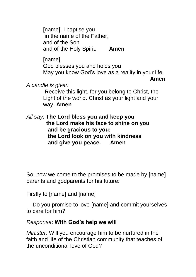[name], I baptise you in the name of the Father, and of the Son and of the Holy Spirit. **Amen**

[name], God blesses you and holds you May you know God's love as a reality in your life.

**Amen** 

*A candle is given*

Receive this light, for you belong to Christ, the Light of the world. Christ as your light and your way. **Amen**

*All say:* **The Lord bless you and keep you the Lord make his face to shine on you and be gracious to you; the Lord look on you with kindness and give you peace. Amen**

So, now we come to the promises to be made by [name] parents and godparents for his future:

Firstly to [name] and [name]

 Do you promise to love [name] and commit yourselves to care for him?

#### *Response*: **With God's help we will**

*Minister*: Will you encourage him to be nurtured in the faith and life of the Christian community that teaches of the unconditional love of God?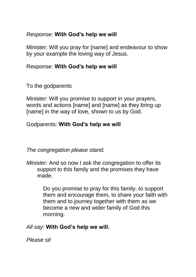#### *Response*: **With God's help we will**

Minister: Will you pray for [name] and endeavour to show by your example the loving way of Jesus.

#### Response: **With God's help we will**

To the godparents

Minister: Will you promise to support in your prayers, words and actions [name] and [name] as they bring up [name] in the way of love, shown to us by God.

### Godparents: **With God's help we will**

*The congregation please stand.* 

*Minister:* And so now I ask the congregation to offer its support to this family and the promises they have made.

> Do you promise to pray for this family, to support them and encourage them, to share your faith with them and to journey together with them as we become a new and wider family of God this morning.

*All say:* **With God's help we will.** 

*Please sit*